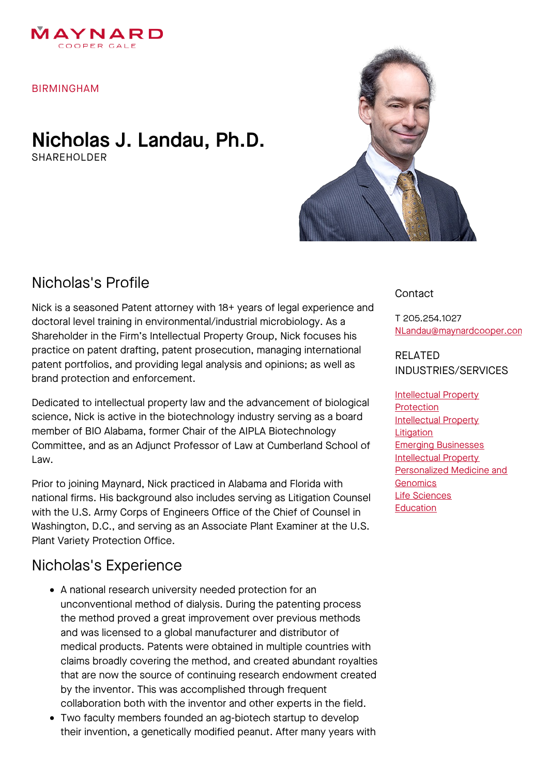

BIRMINGHAM

### Nicholas J. Landau, Ph.D. SHARFHOLDER



# Nicholas's Profile

Nick is a seasoned Patent attorney with 18+ years of legal experience and doctoral level training in environmental/industrial microbiology. As a Shareholder in the Firm's Intellectual Property Group, Nick focuses his practice on patent drafting, patent prosecution, managing international patent portfolios, and providing legal analysis and opinions; as well as brand protection and enforcement.

Dedicated to intellectual property law and the advancement of biological science, Nick is active in the biotechnology industry serving as a board member of BIO Alabama, former Chair of the AIPLA Biotechnology Committee, and as an Adjunct Professor of Law at Cumberland School of Law.

Prior to joining Maynard, Nick practiced in Alabama and Florida with national firms. His background also includes serving as Litigation Counsel with the U.S. Army Corps of Engineers Office of the Chief of Counsel in Washington, D.C., and serving as an Associate Plant Examiner at the U.S. Plant Variety Protection Office.

## Nicholas's Experience

- A national research university needed protection for an unconventional method of dialysis. During the patenting process the method proved a great improvement over previous methods and was licensed to a global manufacturer and distributor of medical products. Patents were obtained in multiple countries with claims broadly covering the method, and created abundant royalties that are now the source of continuing research endowment created by the inventor. This was accomplished through frequent collaboration both with the inventor and other experts in the field.
- Two faculty members founded an ag-biotech startup to develop their invention, a genetically modified peanut. After many years with

#### **Contact**

T 205.254.1027 [NLandau@maynardcooper.com](file:///home/maynardcooper/storage/runtime/temp/enupalsnapshottemp/NLandau@maynardcooper.com)

RELATED INDUSTRIES/SERVICES

[Intellectual](https://www.maynardcooper.com/services/intellectual-property-protection) Property **Protection** [Intellectual](https://www.maynardcooper.com/services/intellectual-property-litigation) Property **Litigation** Emerging [Businesses](https://www.maynardcooper.com/services/emerging-businesses) [Intellectual](https://www.maynardcooper.com/services/intellectual-property) Property [Personalized](https://www.maynardcooper.com/services/personalized-medicine-and-genomics) Medicine and **Genomics** Life [Sciences](https://www.maynardcooper.com/services/life-sciences) **[Education](https://www.maynardcooper.com/services/education)**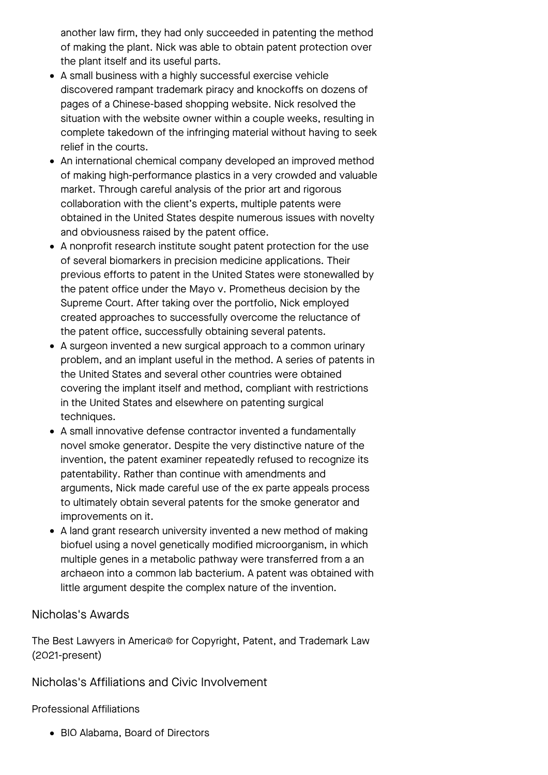another law firm, they had only succeeded in patenting the method of making the plant. Nick was able to obtain patent protection over the plant itself and its useful parts.

- A small business with a highly successful exercise vehicle discovered rampant trademark piracy and knockoffs on dozens of pages of a Chinese-based shopping website. Nick resolved the situation with the website owner within a couple weeks, resulting in complete takedown of the infringing material without having to seek relief in the courts.
- An international chemical company developed an improved method of making high-performance plastics in a very crowded and valuable market. Through careful analysis of the prior art and rigorous collaboration with the client's experts, multiple patents were obtained in the United States despite numerous issues with novelty and obviousness raised by the patent office.
- A nonprofit research institute sought patent protection for the use of several biomarkers in precision medicine applications. Their previous efforts to patent in the United States were stonewalled by the patent office under the Mayo v. Prometheus decision by the Supreme Court. After taking over the portfolio, Nick employed created approaches to successfully overcome the reluctance of the patent office, successfully obtaining several patents.
- A surgeon invented a new surgical approach to a common urinary problem, and an implant useful in the method. A series of patents in the United States and several other countries were obtained covering the implant itself and method, compliant with restrictions in the United States and elsewhere on patenting surgical techniques.
- A small innovative defense contractor invented a fundamentally novel smoke generator. Despite the very distinctive nature of the invention, the patent examiner repeatedly refused to recognize its patentability. Rather than continue with amendments and arguments, Nick made careful use of the ex parte appeals process to ultimately obtain several patents for the smoke generator and improvements on it.
- A land grant research university invented a new method of making biofuel using a novel genetically modified microorganism, in which multiple genes in a metabolic pathway were transferred from a an archaeon into a common lab bacterium. A patent was obtained with little argument despite the complex nature of the invention.

#### Nicholas's Awards

The Best Lawyers in America© for Copyright, Patent, and Trademark Law (2021-present)

Nicholas's Affiliations and Civic Involvement

#### Professional Affiliations

BIO Alabama, Board of Directors